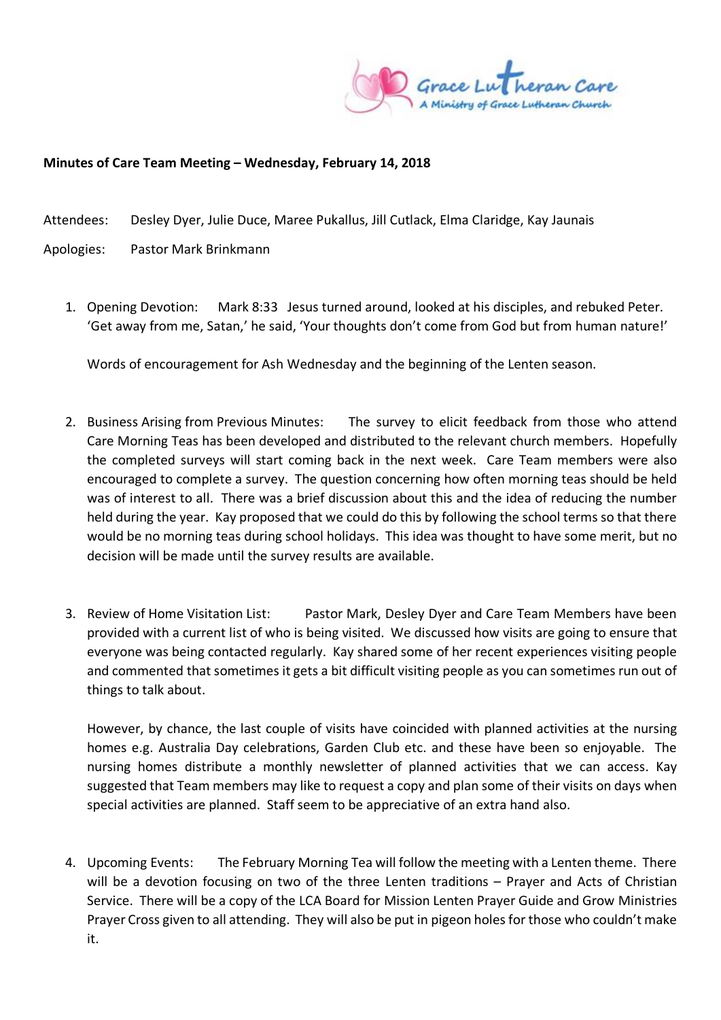

## **Minutes of Care Team Meeting – Wednesday, February 14, 2018**

Attendees: Desley Dyer, Julie Duce, Maree Pukallus, Jill Cutlack, Elma Claridge, Kay Jaunais

- Apologies: Pastor Mark Brinkmann
	- 1. Opening Devotion: Mark 8:33 Jesus turned around, looked at his disciples, and rebuked Peter. 'Get away from me, Satan,' he said, 'Your thoughts don't come from God but from human nature!'

Words of encouragement for Ash Wednesday and the beginning of the Lenten season.

- 2. Business Arising from Previous Minutes: The survey to elicit feedback from those who attend Care Morning Teas has been developed and distributed to the relevant church members. Hopefully the completed surveys will start coming back in the next week. Care Team members were also encouraged to complete a survey. The question concerning how often morning teas should be held was of interest to all. There was a brief discussion about this and the idea of reducing the number held during the year. Kay proposed that we could do this by following the school terms so that there would be no morning teas during school holidays. This idea was thought to have some merit, but no decision will be made until the survey results are available.
- 3. Review of Home Visitation List: Pastor Mark, Desley Dyer and Care Team Members have been provided with a current list of who is being visited. We discussed how visits are going to ensure that everyone was being contacted regularly. Kay shared some of her recent experiences visiting people and commented that sometimes it gets a bit difficult visiting people as you can sometimes run out of things to talk about.

However, by chance, the last couple of visits have coincided with planned activities at the nursing homes e.g. Australia Day celebrations, Garden Club etc. and these have been so enjoyable. The nursing homes distribute a monthly newsletter of planned activities that we can access. Kay suggested that Team members may like to request a copy and plan some of their visits on days when special activities are planned. Staff seem to be appreciative of an extra hand also.

4. Upcoming Events: The February Morning Tea will follow the meeting with a Lenten theme. There will be a devotion focusing on two of the three Lenten traditions – Prayer and Acts of Christian Service. There will be a copy of the LCA Board for Mission Lenten Prayer Guide and Grow Ministries Prayer Cross given to all attending. They will also be put in pigeon holes for those who couldn't make it.